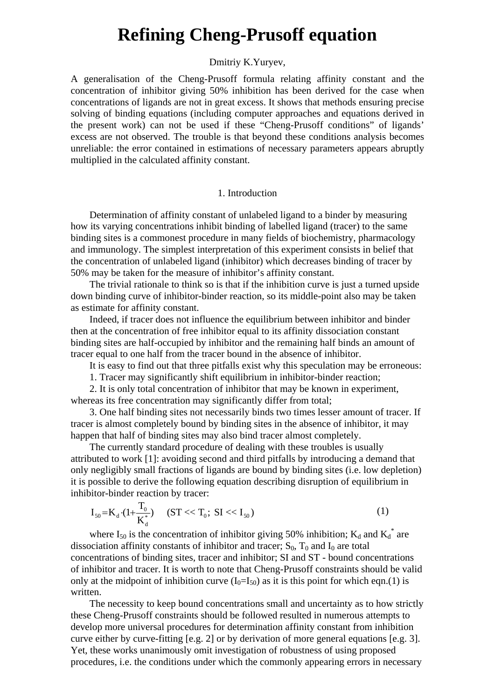# **Refining Cheng-Prusoff equation**

# Dmitriy K.Yuryev,

A generalisation of the Cheng-Prusoff formula relating affinity constant and the concentration of inhibitor giving 50% inhibition has been derived for the case when concentrations of ligands are not in great excess. It shows that methods ensuring precise solving of binding equations (including computer approaches and equations derived in the present work) can not be used if these "Cheng-Prusoff conditions" of ligands' excess are not observed. The trouble is that beyond these conditions analysis becomes unreliable: the error contained in estimations of necessary parameters appears abruptly multiplied in the calculated affinity constant.

#### 1. Introduction

Determination of affinity constant of unlabeled ligand to a binder by measuring how its varying concentrations inhibit binding of labelled ligand (tracer) to the same binding sites is a commonest procedure in many fields of biochemistry, pharmacology and immunology. The simplest interpretation of this experiment consists in belief that the concentration of unlabeled ligand (inhibitor) which decreases binding of tracer by 50% may be taken for the measure of inhibitor's affinity constant.

The trivial rationale to think so is that if the inhibition curve is just a turned upside down binding curve of inhibitor-binder reaction, so its middle-point also may be taken as estimate for affinity constant.

Indeed, if tracer does not influence the equilibrium between inhibitor and binder then at the concentration of free inhibitor equal to its affinity dissociation constant binding sites are half-occupied by inhibitor and the remaining half binds an amount of tracer equal to one half from the tracer bound in the absence of inhibitor.

It is easy to find out that three pitfalls exist why this speculation may be erroneous:

1. Tracer may significantly shift equilibrium in inhibitor-binder reaction;

2. It is only total concentration of inhibitor that may be known in experiment, whereas its free concentration may significantly differ from total;

3. One half binding sites not necessarily binds two times lesser amount of tracer. If tracer is almost completely bound by binding sites in the absence of inhibitor, it may happen that half of binding sites may also bind tracer almost completely.

The currently standard procedure of dealing with these troubles is usually attributed to work [1]: avoiding second and third pitfalls by introducing a demand that only negligibly small fractions of ligands are bound by binding sites (i.e. low depletion) it is possible to derive the following equation describing disruption of equilibrium in inhibitor-binder reaction by tracer:

$$
I_{50} = K_d \cdot (1 + \frac{T_0}{K_d^*}) \quad (ST \ll T_0; \, SI \ll I_{50})
$$
\n<sup>(1)</sup>

where  $I_{50}$  is the concentration of inhibitor giving 50% inhibition;  $K_d$  and  $K_d^*$  are dissociation affinity constants of inhibitor and tracer;  $S_0$ ,  $T_0$  and  $I_0$  are total concentrations of binding sites, tracer and inhibitor; SI and ST - bound concentrations of inhibitor and tracer. It is worth to note that Cheng-Prusoff constraints should be valid only at the midpoint of inhibition curve  $(I_0=I_{50})$  as it is this point for which eqn.(1) is written.

The necessity to keep bound concentrations small and uncertainty as to how strictly these Cheng-Prusoff constraints should be followed resulted in numerous attempts to develop more universal procedures for determination affinity constant from inhibition curve either by curve-fitting [e.g. 2] or by derivation of more general equations [e.g. 3]. Yet, these works unanimously omit investigation of robustness of using proposed procedures, i.e. the conditions under which the commonly appearing errors in necessary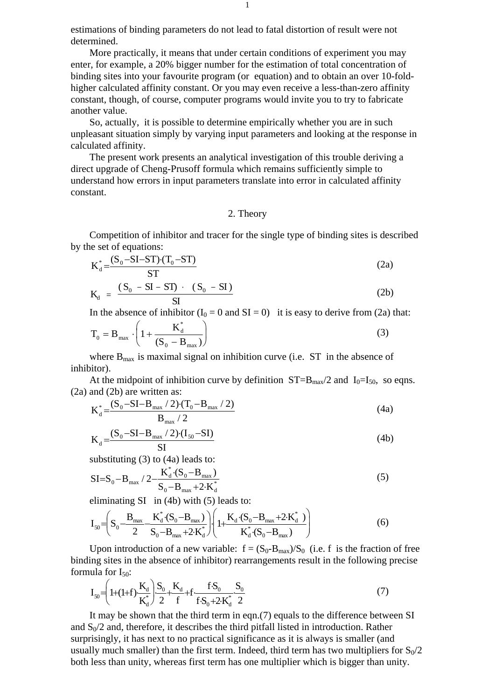estimations of binding parameters do not lead to fatal distortion of result were not determined.

More practically, it means that under certain conditions of experiment you may enter, for example, a 20% bigger number for the estimation of total concentration of binding sites into your favourite program (or equation) and to obtain an over 10-foldhigher calculated affinity constant. Or you may even receive a less-than-zero affinity constant, though, of course, computer programs would invite you to try to fabricate another value.

So, actually, it is possible to determine empirically whether you are in such unpleasant situation simply by varying input parameters and looking at the response in calculated affinity.

The present work presents an analytical investigation of this trouble deriving a direct upgrade of Cheng-Prusoff formula which remains sufficiently simple to understand how errors in input parameters translate into error in calculated affinity constant.

#### 2. Theory

Competition of inhibitor and tracer for the single type of binding sites is described by the set of equations:

$$
K_d^* = \frac{(S_0 - SI - ST) \cdot (T_0 - ST)}{ST}
$$
 (2a)

$$
K_d = \frac{(S_0 - SI - ST) \cdot (S_0 - SI)}{SI}
$$
 (2b)

In the absence of inhibitor  $(I_0 = 0 \text{ and } SI = 0)$  it is easy to derive from (2a) that:

$$
T_0 = B_{\text{max}} \cdot \left( 1 + \frac{K_d^*}{(S_0 - B_{\text{max}})} \right)
$$
 (3)

where  $B_{\text{max}}$  is maximal signal on inhibition curve (i.e. ST in the absence of inhibitor).

At the midpoint of inhibition curve by definition  $ST=B_{max}/2$  and  $I_0=I_{50}$ , so eqns. (2a) and (2b) are written as:

$$
K_d^* = \frac{(S_0 - SI - B_{max} / 2) \cdot (T_0 - B_{max} / 2)}{B_{max} / 2}
$$
 (4a)

$$
K_{d} = \frac{(S_{0} - SI - B_{max} / 2) \cdot (I_{50} - SI)}{SI}
$$
 (4b)

substituting (3) to (4a) leads to:

$$
SI = S_0 - B_{\text{max}} / 2 - \frac{K_d^* \cdot (S_0 - B_{\text{max}})}{S_0 - B_{\text{max}} + 2 \cdot K_d^*}
$$
 (5)

eliminating SI in (4b) with (5) leads to:

$$
I_{50} = \left(S_0 - \frac{B_{\text{max}}}{2} - \frac{K_d^*(S_0 - B_{\text{max}})}{S_0 - B_{\text{max}} + 2 \cdot K_d^*}\right) \left(1 + \frac{K_d \cdot (S_0 - B_{\text{max}} + 2 \cdot K_d^*)}{K_d^*(S_0 - B_{\text{max}})}\right)
$$
(6)

Upon introduction of a new variable:  $f = (S_0 - B_{max})/S_0$  (i.e. f is the fraction of free binding sites in the absence of inhibitor) rearrangements result in the following precise formula for  $I_{50}$ :

$$
I_{50} = \left(1 + (1 + f)\frac{K_d}{K_d^*}\right)\frac{S_0}{2} + \frac{K_d}{f} + f\frac{fS_0}{fS_0 + 2K_d^*} \frac{S_0}{2}
$$
\n<sup>(7)</sup>

It may be shown that the third term in eqn.(7) equals to the difference between SI and  $S_0/2$  and, therefore, it describes the third pitfall listed in introduction. Rather surprisingly, it has next to no practical significance as it is always is smaller (and usually much smaller) than the first term. Indeed, third term has two multipliers for  $S_0/2$ both less than unity, whereas first term has one multiplier which is bigger than unity.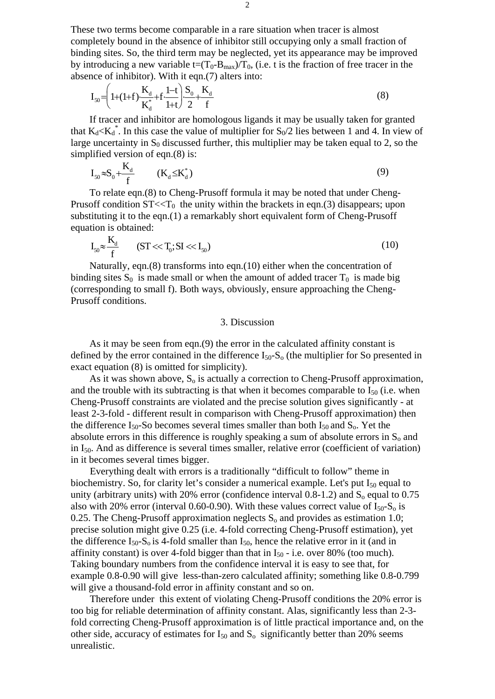These two terms become comparable in a rare situation when tracer is almost completely bound in the absence of inhibitor still occupying only a small fraction of binding sites. So, the third term may be neglected, yet its appearance may be improved by introducing a new variable  $t=(T_0-B_{max})/T_0$ , (i.e. t is the fraction of free tracer in the absence of inhibitor). With it eqn.(7) alters into:

$$
I_{50} = \left(1 + (1 + f)\frac{K_d}{K_d^*} + f\frac{1 - t}{1 + t}\right)\frac{S_0}{2} + \frac{K_d}{f}
$$
\n(8)

If tracer and inhibitor are homologous ligands it may be usually taken for granted that  $K_d < K_d^*$ . In this case the value of multiplier for  $S_0/2$  lies between 1 and 4. In view of large uncertainty in  $S_0$  discussed further, this multiplier may be taken equal to 2, so the simplified version of eqn.(8) is:

$$
I_{50} \approx S_0 + \frac{K_d}{f} \qquad (K_d \leq K_d^*)
$$
\n
$$
(9)
$$

To relate eqn.(8) to Cheng-Prusoff formula it may be noted that under Cheng-Prusoff condition  $ST < T_0$  the unity within the brackets in eqn.(3) disappears; upon substituting it to the eqn.(1) a remarkably short equivalent form of Cheng-Prusoff equation is obtained:

$$
I_{50} \approx \frac{K_d}{f} \qquad (ST \ll T_0; SI \ll I_{50})
$$
\n(10)

Naturally, eqn.(8) transforms into eqn.(10) either when the concentration of binding sites  $S_0$  is made small or when the amount of added tracer  $T_0$  is made big (corresponding to small f). Both ways, obviously, ensure approaching the Cheng-Prusoff conditions.

## 3. Discussion

As it may be seen from eqn.(9) the error in the calculated affinity constant is defined by the error contained in the difference  $I_{50}$ -S<sub>o</sub> (the multiplier for So presented in exact equation (8) is omitted for simplicity).

As it was shown above,  $S_0$  is actually a correction to Cheng-Prusoff approximation, and the trouble with its subtracting is that when it becomes comparable to  $I_{50}$  (i.e. when Cheng-Prusoff constraints are violated and the precise solution gives significantly - at least 2-3-fold - different result in comparison with Cheng-Prusoff approximation) then the difference  $I_{50}$ -So becomes several times smaller than both  $I_{50}$  and  $S_0$ . Yet the absolute errors in this difference is roughly speaking a sum of absolute errors in  $S_0$  and in  $I_{50}$ . And as difference is several times smaller, relative error (coefficient of variation) in it becomes several times bigger.

Everything dealt with errors is a traditionally "difficult to follow" theme in biochemistry. So, for clarity let's consider a numerical example. Let's put  $I_{50}$  equal to unity (arbitrary units) with 20% error (confidence interval  $0.8-1.2$ ) and  $S_0$  equal to  $0.75$ also with 20% error (interval 0.60-0.90). With these values correct value of  $I_{50}$ -S<sub>o</sub> is 0.25. The Cheng-Prusoff approximation neglects  $S_0$  and provides as estimation 1.0; precise solution might give 0.25 (i.e. 4-fold correcting Cheng-Prusoff estimation), yet the difference  $I_{50}$ -S<sub>o</sub> is 4-fold smaller than  $I_{50}$ , hence the relative error in it (and in affinity constant) is over 4-fold bigger than that in  $I_{50}$  - i.e. over 80% (too much). Taking boundary numbers from the confidence interval it is easy to see that, for example 0.8-0.90 will give less-than-zero calculated affinity; something like 0.8-0.799 will give a thousand-fold error in affinity constant and so on.

Therefore under this extent of violating Cheng-Prusoff conditions the 20% error is too big for reliable determination of affinity constant. Alas, significantly less than 2-3 fold correcting Cheng-Prusoff approximation is of little practical importance and, on the other side, accuracy of estimates for  $I_{50}$  and  $S_0$  significantly better than 20% seems unrealistic.